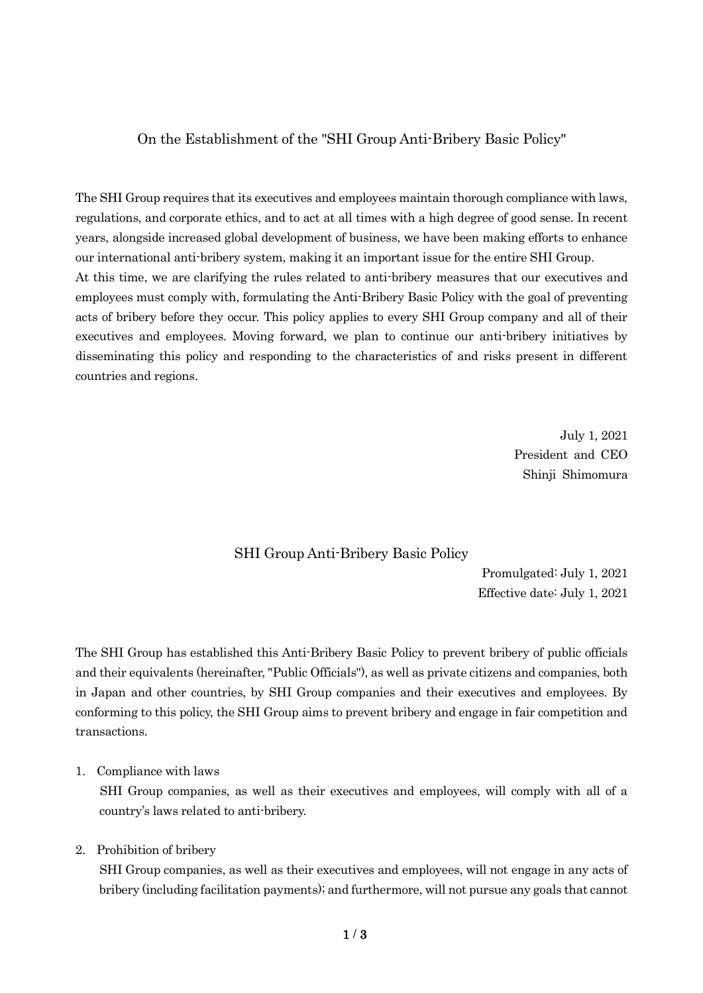### On the Establishment of the "SHI Group Anti-Bribery Basic Policy"

The SHI Group requires that its executives and employees maintain thorough compliance with laws, regulations, and corporate ethics, and to act at all times with a high degree of good sense. In recent years, alongside increased global development of business, we have been making efforts to enhance our international anti-bribery system, making it an important issue for the entire SHI Group. At this time, we are clarifying the rules related to anti-bribery measures that our executives and employees must comply with, formulating the Anti-Bribery Basic Policy with the goal of preventing acts of bribery before they occur. This policy applies to every SHI Group company and all of their executives and employees. Moving forward, we plan to continue our anti-bribery initiatives by disseminating this policy and responding to the characteristics of and risks present in different countries and regions.

> July 1, 2021 President and CEO Shinji Shimomura

#### SHI Group Anti-Bribery Basic Policy

Promulgated: July 1, 2021 Effective date: July 1, 2021

The SHI Group has established this Anti-Bribery Basic Policy to prevent bribery of public officials and their equivalents (hereinafter, "Public Officials"), as well as private citizens and companies, both in Japan and other countries, by SHI Group companies and their executives and employees. By conforming to this policy, the SHI Group aims to prevent bribery and engage in fair competition and transactions.

1. Compliance with laws

SHI Group companies, as well as their executives and employees, will comply with all of a country's laws related to anti-bribery.

2. Prohibition of bribery

SHI Group companies, as well as their executives and employees, will not engage in any acts of bribery (including facilitation payments); and furthermore, will not pursue any goals that cannot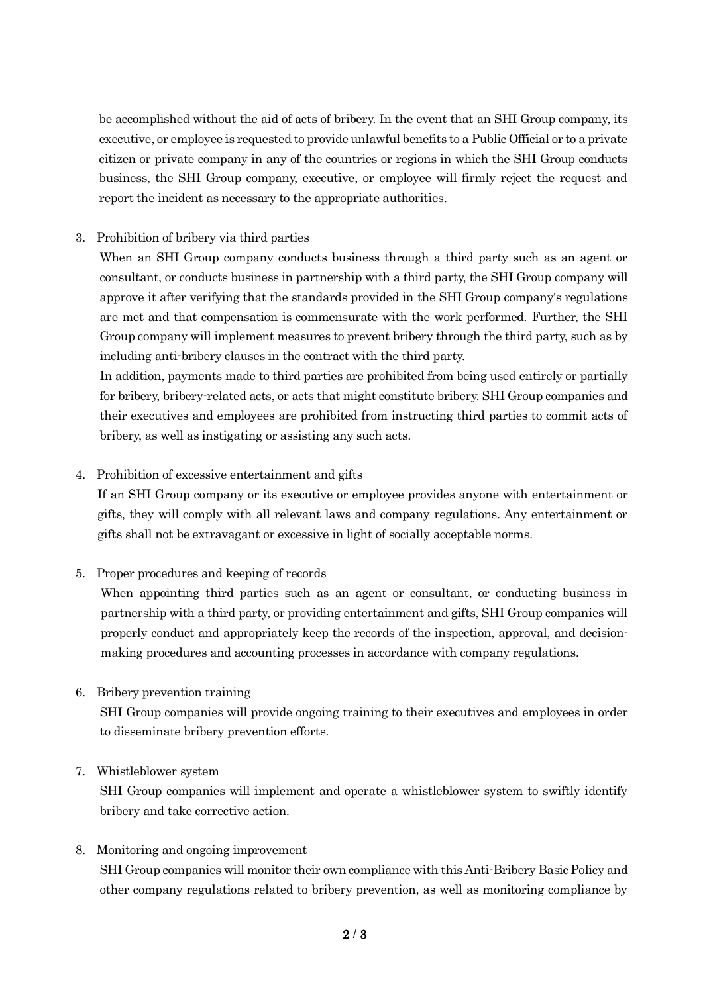be accomplished without the aid of acts of bribery. In the event that an SHI Group company, its executive, or employee is requested to provide unlawful benefits to a Public Official or to a private citizen or private company in any of the countries or regions in which the SHI Group conducts business, the SHI Group company, executive, or employee will firmly reject the request and report the incident as necessary to the appropriate authorities.

### 3. Prohibition of bribery via third parties

When an SHI Group company conducts business through a third party such as an agent or consultant, or conducts business in partnership with a third party, the SHI Group company will approve it after verifying that the standards provided in the SHI Group company's regulations are met and that compensation is commensurate with the work performed. Further, the SHI Group company will implement measures to prevent bribery through the third party, such as by including anti-bribery clauses in the contract with the third party.

In addition, payments made to third parties are prohibited from being used entirely or partially for bribery, bribery-related acts, or acts that might constitute bribery. SHI Group companies and their executives and employees are prohibited from instructing third parties to commit acts of bribery, as well as instigating or assisting any such acts.

### 4. Prohibition of excessive entertainment and gifts

If an SHI Group company or its executive or employee provides anyone with entertainment or gifts, they will comply with all relevant laws and company regulations. Any entertainment or gifts shall not be extravagant or excessive in light of socially acceptable norms.

# 5. Proper procedures and keeping of records

When appointing third parties such as an agent or consultant, or conducting business in partnership with a third party, or providing entertainment and gifts, SHI Group companies will properly conduct and appropriately keep the records of the inspection, approval, and decisionmaking procedures and accounting processes in accordance with company regulations.

### 6. Bribery prevention training

SHI Group companies will provide ongoing training to their executives and employees in order to disseminate bribery prevention efforts.

# 7. Whistleblower system

SHI Group companies will implement and operate a whistleblower system to swiftly identify bribery and take corrective action.

### 8. Monitoring and ongoing improvement

SHI Group companies will monitor their own compliance with this Anti-Bribery Basic Policy and other company regulations related to bribery prevention, as well as monitoring compliance by